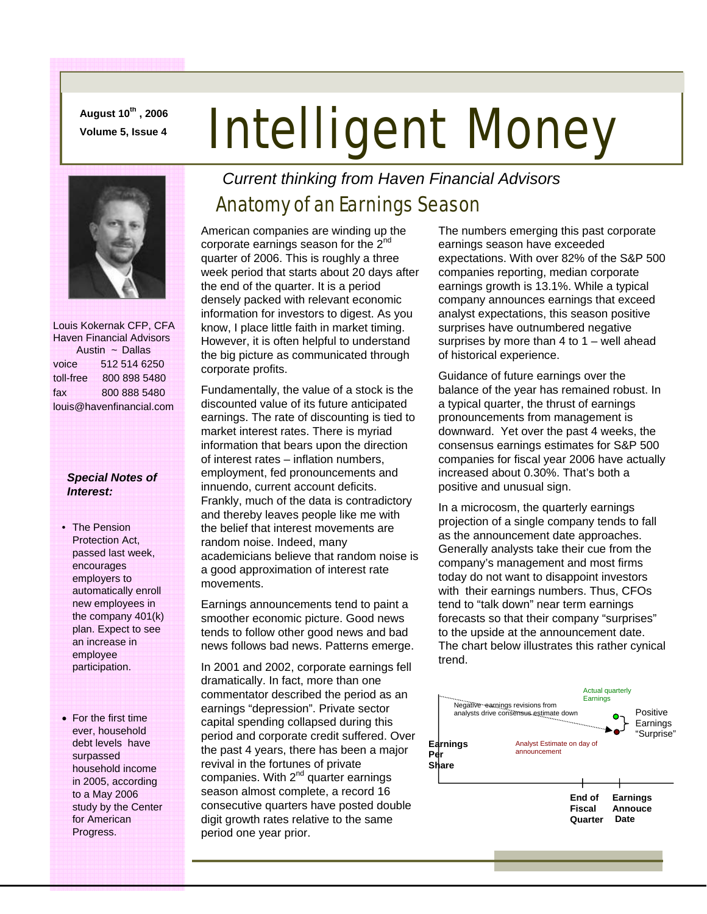**August 10th , 2006** 

# August 10", 2006 **Intelligent Money**



 Louis Kokernak CFP, CFA Haven Financial Advisors Austin ~ Dallas voice 512 514 6250 toll-free 800 898 5480 fax 800 888 5480 louis@havenfinancial.com

#### *Special Notes of Interest:*

- The Pension Protection Act, passed last week, encourages employers to automatically enroll new employees in the company 401(k) plan. Expect to see an increase in employee participation.
- For the first time ever, household debt levels have surpassed household income in 2005, according to a May 2006 study by the Center for American Progress.

### *Current thinking from Haven Financial Advisors*

## Anatomy of an Earnings Season

American companies are winding up the corporate earnings season for the  $2^{nc}$ quarter of 2006. This is roughly a three week period that starts about 20 days after the end of the quarter. It is a period densely packed with relevant economic information for investors to digest. As you know, I place little faith in market timing. However, it is often helpful to understand the big picture as communicated through corporate profits.

Fundamentally, the value of a stock is the discounted value of its future anticipated earnings. The rate of discounting is tied to market interest rates. There is myriad information that bears upon the direction of interest rates – inflation numbers, employment, fed pronouncements and innuendo, current account deficits. Frankly, much of the data is contradictory and thereby leaves people like me with the belief that interest movements are random noise. Indeed, many academicians believe that random noise is a good approximation of interest rate movements.

Earnings announcements tend to paint a smoother economic picture. Good news tends to follow other good news and bad news follows bad news. Patterns emerge.

In 2001 and 2002, corporate earnings fell dramatically. In fact, more than one commentator described the period as an earnings "depression". Private sector capital spending collapsed during this period and corporate credit suffered. Over the past 4 years, there has been a major revival in the fortunes of private companies. With  $2^{nd}$  quarter earnings season almost complete, a record 16 consecutive quarters have posted double digit growth rates relative to the same period one year prior.

The numbers emerging this past corporate earnings season have exceeded expectations. With over 82% of the S&P 500 companies reporting, median corporate earnings growth is 13.1%. While a typical company announces earnings that exceed analyst expectations, this season positive surprises have outnumbered negative surprises by more than  $4$  to  $1 -$  well ahead of historical experience.

Guidance of future earnings over the balance of the year has remained robust. In a typical quarter, the thrust of earnings pronouncements from management is downward. Yet over the past 4 weeks, the consensus earnings estimates for S&P 500 companies for fiscal year 2006 have actually increased about 0.30%. That's both a positive and unusual sign.

In a microcosm, the quarterly earnings projection of a single company tends to fall as the announcement date approaches. Generally analysts take their cue from the company's management and most firms today do not want to disappoint investors with their earnings numbers. Thus, CFOs tend to "talk down" near term earnings forecasts so that their company "surprises" to the upside at the announcement date. The chart below illustrates this rather cynical trend.